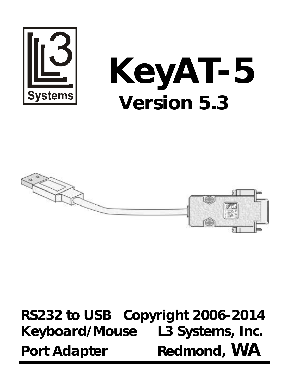

# **KeyAT-5 Version 5.3**



**RS232 to USB Copyright 2006-2014 Keyboard/Mouse L3 Systems, Inc. Port Adapter Redmond, WA**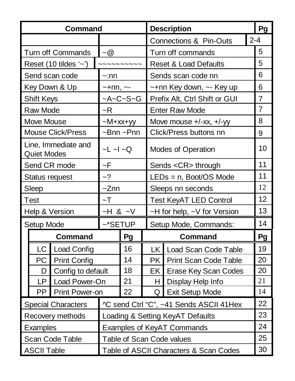|                    | Command                   |                                 |             |                         | <b>Description</b>                      | Pg             |  |
|--------------------|---------------------------|---------------------------------|-------------|-------------------------|-----------------------------------------|----------------|--|
|                    |                           |                                 |             |                         | Connections & Pin-Outs                  | $2 - 4$        |  |
|                    | <b>Turn off Commands</b>  | $-\omega$                       |             |                         | Turn off commands                       | 5              |  |
|                    | Reset (10 tildes '~')     |                                 |             |                         | Reset & Load Defaults                   | 5              |  |
|                    | Send scan code            | $\sim$ :nn                      |             |                         | Sends scan code nn                      |                |  |
|                    | Key Down & Up             | $-+nn$ , $-$                    |             |                         | ∼+nn Key down, ∼- Key up                |                |  |
| Shift Keys         |                           |                                 | $-A-C-S-G$  |                         | Prefix Alt, Ctrl Shift or GUI           | 7              |  |
| Raw Mode           |                           | ~R                              |             |                         | <b>Enter Raw Mode</b>                   | $\overline{7}$ |  |
| Move Mouse         |                           | $-M+xx+yy$                      |             |                         | Move mouse +/-xx, +/-yy                 | 8              |  |
|                    | <b>Mouse Click/Press</b>  |                                 | $-Bnn$ ~Pnn |                         | Click/Press buttons nn                  | 9              |  |
| <b>Quiet Modes</b> | Line, Immediate and       | $-L$ $\sim$ $L$ $\sim$ $\Omega$ |             |                         | Modes of Operation                      | 10             |  |
|                    | Send CR mode              | ~F                              |             | Sends <cr> through</cr> |                                         | 11             |  |
|                    | Status request            | $-2$                            |             |                         | $LEDs = n$ , Boot/OS Mode               | 11             |  |
| Sleep              |                           | $\sim$ Znn                      |             |                         | Sleeps nn seconds                       | 12             |  |
| Test               |                           | $-T$                            |             |                         | <b>Test KeyAT LED Control</b>           | 12             |  |
|                    | Help & Version            | $-H 8$ $-V$                     |             |                         | ~H for help, ~V for Version             | 13             |  |
| Setup Mode         |                           | $~\sim$ *SETUP                  |             |                         | Setup Mode, Commands:                   | 14             |  |
|                    | Command                   |                                 | Pq          |                         | Command                                 | Pg             |  |
| LC I               | <b>Load Config</b>        |                                 | 16          |                         | LK Load Scan Code Table                 | 19             |  |
|                    | PC Print Config           |                                 | 14          |                         | <b>PK Print Scan Code Table</b>         | 20             |  |
| D I                | Config to default         |                                 | 18          |                         | <b>EK</b> Erase Key Scan Codes          | 20             |  |
| LP.                | Load Power-On             |                                 | 21          | нı                      | Display Help Info                       | 21             |  |
| PP I               | Print Power-on            |                                 | 22          | O                       | Exit Setup Mode                         | 14             |  |
|                    | <b>Special Characters</b> |                                 |             |                         | ^C send Ctrl "C", ~41 Sends ASCII 41Hex | 22             |  |
|                    | Recovery methods          |                                 |             |                         | Loading & Setting KeyAT Defaults        | 23             |  |
| Examples           |                           |                                 |             |                         | Examples of KeyAT Commands              | 24             |  |
|                    | Scan Code Table           |                                 |             |                         | Table of Scan Code values               | 25             |  |
| <b>ASCII Table</b> |                           |                                 |             |                         | Table of ASCII Characters & Scan Codes  | 30             |  |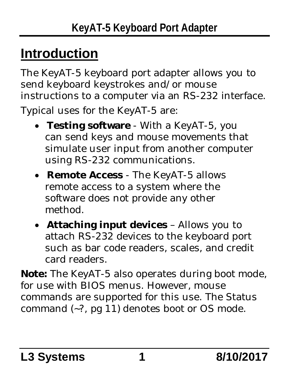## **Introduction**

The KeyAT-5 keyboard port adapter allows you to send keyboard keystrokes and/or mouse instructions to a computer via an RS-232 interface. Typical uses for the KeyAT-5 are:

- **Testing software** With a KeyAT-5, you can send keys and mouse movements that simulate user input from another computer using RS-232 communications.
- **Remote Access** The KeyAT-5 allows remote access to a system where the software does not provide any other method.
- **Attaching input devices** Allows you to attach RS-232 devices to the keyboard port such as bar code readers, scales, and credit card readers.

**Note:** The KeyAT-5 also operates during boot mode, for use with BIOS menus. However, mouse commands are supported for this use. The Status command (~?, pg 11) denotes boot or OS mode.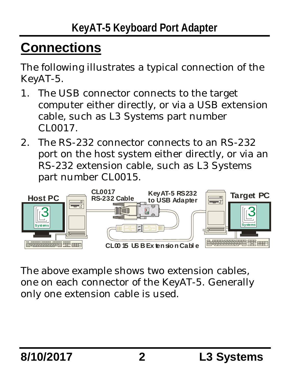## **Connections**

The following illustrates a typical connection of the KeyAT-5.

- 1. The USB connector connects to the target computer either directly, or via a USB extension cable, such as L3 Systems part number CL0017.
- 2. The RS-232 connector connects to an RS-232 port on the host system either directly, or via an RS-232 extension cable, such as L3 Systems part number CL0015.



The above example shows two extension cables, one on each connector of the KeyAT-5. Generally only one extension cable is used.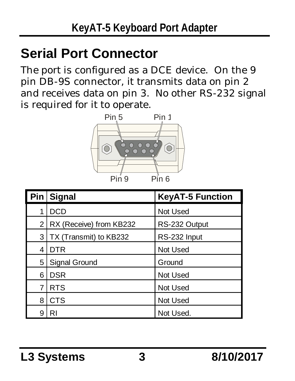## **Serial Port Connector**

The port is configured as a DCE device. On the 9 pin DB-9S connector, it transmits data on pin 2 and receives data on pin 3. No other RS-232 signal is required for it to operate.



|                | Pin Signal              | <b>KeyAT-5 Function</b> |
|----------------|-------------------------|-------------------------|
| 1              | <b>DCD</b>              | Not Used                |
| 2              | RX (Receive) from KB232 | RS-232 Output           |
| 3              | TX (Transmit) to KB232  | RS-232 Input            |
| 4              | <b>DTR</b>              | Not Used                |
| 5              | Signal Ground           | Ground                  |
| 6              | <b>DSR</b>              | Not Used                |
| $\overline{7}$ | <b>RTS</b>              | Not Used                |
| 8              | <b>CTS</b>              | Not Used                |
| 9              | RI                      | Not Used.               |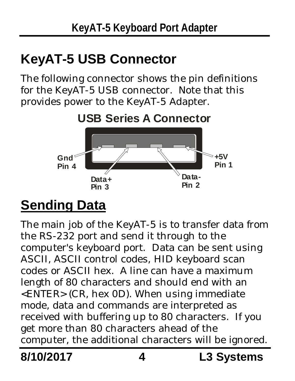## **KeyAT-5 USB Connector**

The following connector shows the pin definitions for the KeyAT-5 USB connector. Note that this provides power to the KeyAT-5 Adapter.



## **Sending Data**

The main job of the KeyAT-5 is to transfer data from the RS-232 port and send it through to the computer's keyboard port. Data can be sent using ASCII, ASCII control codes, HID keyboard scan codes or ASCII hex. A line can have a maximum length of 80 characters and should end with an <ENTER> (CR, hex 0D). When using immediate mode, data and commands are interpreted as received with buffering up to 80 characters. If you get more than 80 characters ahead of the computer, the additional characters will be ignored.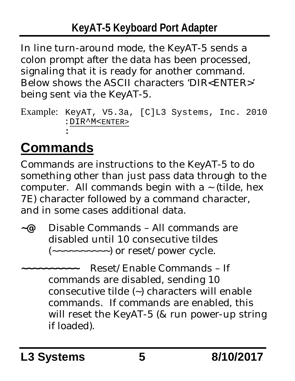In line turn-around mode, the KeyAT-5 sends a colon prompt after the data has been processed, signaling that it is ready for another command. Below shows the ASCII characters 'DIR<ENTER>' being sent via the KeyAT-5.

```
Example: KeyAT, V5.3a, [C]L3 Systems, Inc. 2010
         :DIR^M<ENTER>
         :
```
# **Commands**

Commands are instructions to the KeyAT-5 to do something other than just pass data through to the computer. All commands begin with  $a \sim (tilde{e}$ , hex 7E) character followed by a command character, and in some cases additional data.

- **~@** Disable Commands All commands are disabled until 10 consecutive tildes  $(\sim \sim \sim \sim \sim \sim \sim \sim)$  or reset/power cycle.
- **~~~~~~~~~~** Reset/Enable Commands If commands are disabled, sending 10 consecutive tilde (~) characters will enable commands. If commands are enabled, this will reset the KeyAT-5 (& run power-up string if loaded).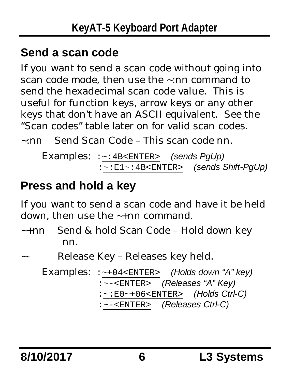#### **Send a scan code**

If you want to send a scan code without going into scan code mode, then use the ~:nn command to send the hexadecimal scan code value. This is useful for function keys, arrow keys or any other keys that don't have an ASCII equivalent. See the "Scan codes" table later on for valid scan codes.

~:nn Send Scan Code – This scan code nn.

```
Examples: :~:4B<ENTER> (sends PgUp)
           :~:E1~:4B<ENTER> (sends Shift-PgUp)
```
#### **Press and hold a key**

If you want to send a scan code and have it be held down, then use the ~+nn command.

~+nn Send & hold Scan Code – Hold down key nn.

```
Release Key – Releases key held.
```
Examples: :~+04<ENTER> *(Holds down "A" key)* :~-<ENTER> *(Releases "A" Key)* :~:E0~+06<ENTER> *(Holds Ctrl-C)* :~-<ENTER> *(Releases Ctrl-C)*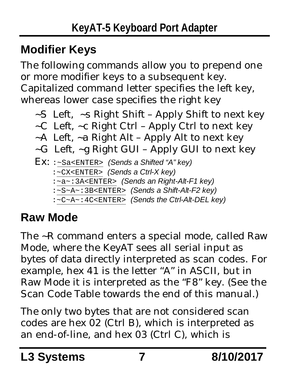## **Modifier Keys**

The following commands allow you to prepend one or more modifier keys to a subsequent key. Capitalized command letter specifies the left key, whereas lower case specifies the right key

- ~S Left, ~s Right Shift Apply Shift to next key
- $\sim$ C Left,  $\sim$ c Right Ctrl Apply Ctrl to next key
- $-A$  Left,  $\sim$ a Right Alt Apply Alt to next key
- ~G Left, ~g Right GUI Apply GUI to next key

```
Ex: :~Sa<ENTER> (Sends a Shifted "A" key)
    :~CX<ENTER> (Sends a Ctrl-X key)
    :~a~:3A<ENTER> (Sends an Right-Alt-F1 key)
    :~S~A~:3B<ENTER> (Sends a Shift-Alt-F2 key)
    :~C~A~:4C<ENTER> (Sends the Ctrl-Alt-DEL key)
```
## **Raw Mode**

The ~R command enters a special mode, called Raw Mode, where the KeyAT sees all serial input as bytes of data directly interpreted as scan codes. For example, hex 41 is the letter "A" in ASCII, but in Raw Mode it is interpreted as the "F8" key. (See the Scan Code Table towards the end of this manual.)

The only two bytes that are not considered scan codes are hex 02 (Ctrl B), which is interpreted as an end-of-line, and hex 03 (Ctrl C), which is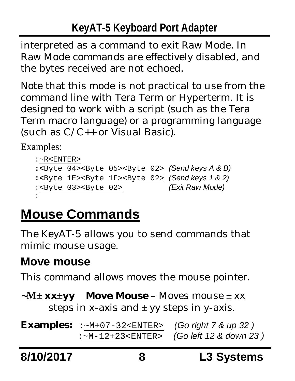#### **KeyAT-5 Keyboard Port Adapter**

interpreted as a command to exit Raw Mode. In Raw Mode commands are effectively disabled, and the bytes received are not echoed.

Note that this mode is not practical to use from the command line with Tera Term or Hyperterm. It is designed to work with a script (such as the Tera Term macro language) or a programming language (such as C/C++ or Visual Basic).

Examples:

```
:~R<ENTER>
:<Byte 04><Byte 05><Byte 02> (Send keys A & B)
:<Byte 1E><Byte 1F><Byte 02> (Send keys 1 & 2)
:<Byte 03><Byte 02> (Exit Raw Mode)
:
```
# **Mouse Commands**

The KeyAT-5 allows you to send commands that mimic mouse usage.

#### **Move mouse**

This command allows moves the mouse pointer.

**~M xxyy Move Mouse** – Moves mouse xx steps in x-axis and  $\pm$  yy steps in y-axis.

**Examples:** :~M+07-32<ENTER> *(Go right 7 & up 32 )* :~M-12+23<ENTER> *(Go left 12 & down 23 )*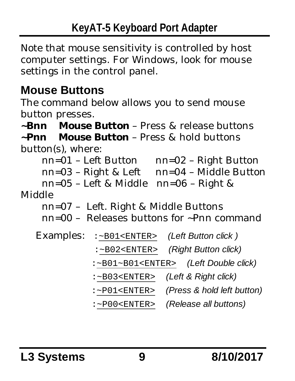Note that mouse sensitivity is controlled by host computer settings. For Windows, look for mouse settings in the control panel.

#### **Mouse Buttons**

The command below allows you to send mouse button presses.

**~Bnn Mouse Button** – Press & release buttons

**~Pnn Mouse Button** – Press & hold buttons button(s), where:

nn=01 – Left Button nn=02 – Right Button

```
nn=03 – Right & Left nn=04 – Middle Button
```
nn=05 – Left & Middle nn=06 – Right & Middle

nn=07 – Left. Right & Middle Buttons

nn=00 – Releases buttons for ~Pnn command

| Examples: | :~B01 <enter></enter>       | (Left Button click)        |
|-----------|-----------------------------|----------------------------|
|           | $:-B02<$ ENTER>             | (Right Button click)       |
|           | $:-B01-B01<$ ENTER>         | (Left Double click)        |
|           | $:-B03<$ ENTER>             | (Left & Right click)       |
|           | $:-$ P $01$ <enter></enter> | (Press & hold left button) |
|           | $:-$ P $00$ <enter></enter> | (Release all buttons)      |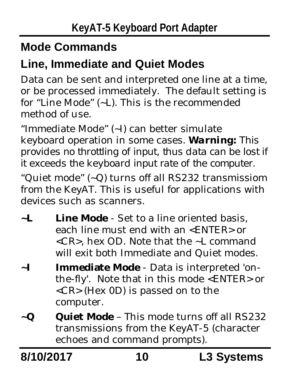#### **Mode Commands**

#### **Line, Immediate and Quiet Modes**

Data can be sent and interpreted one line at a time, or be processed immediately. The default setting is for "Line Mode" (~L). This is the recommended method of use.

"Immediate Mode" (~I) can better simulate keyboard operation in some cases. *Warning: This provides no throttling of input, thus data can be lost if it exceeds the keyboard input rate of the computer.*

"Quiet mode" (~Q) turns off all RS232 transmissiom from the KeyAT. This is useful for applications with devices such as scanners.

- **~L Line Mode** Set to a line oriented basis, each line must end with an <ENTER> or <CR>, hex OD. Note that the ~L command will exit both Immediate and Quiet modes.
- **~I Immediate Mode** Data is interpreted 'onthe-fly'. Note that in this mode <ENTER> or <CR> (Hex 0D) is passed on to the computer.
- **~Q Quiet Mode** This mode turns off all RS232 transmissions from the KeyAT-5 (character echoes and command prompts).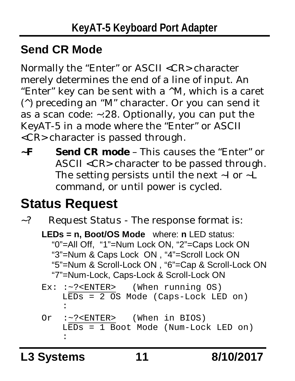#### **Send CR Mode**

Normally the "Enter" or ASCII <CR> character merely determines the end of a line of input. An "Enter" key can be sent with a ^M, which is a caret (^) preceding an "M" character. Or you can send it as a scan code: ~:28. Optionally, you can put the KeyAT-5 in a mode where the "Enter" or ASCII <CR> character is passed through.

**~F Send CR mode** – This causes the "Enter" or ASCII <CR> character to be passed through. The setting persists until the next ~I or ~L command, or until power is cycled.

## **Status Request**

~? Request Status - The response format is:

**LEDs = n, Boot/OS Mode** where: **n** LED status: "0"=All Off, "1"=Num Lock ON, "2"=Caps Lock ON "3"=Num & Caps Lock ON , "4"=Scroll Lock ON "5"=Num & Scroll-Lock ON , "6"=Cap & Scroll-Lock ON "7"=Num-Lock, Caps-Lock & Scroll-Lock ON

```
Ex: :~?<ENTER> (When running OS)
   LEDs = 2 OS Mode (Caps-Lock LED on)
    :
Or :~?<ENTER> (When in BIOS)
   LEDS = 1 Boot Mode (Num-Lock LED on)
    :
```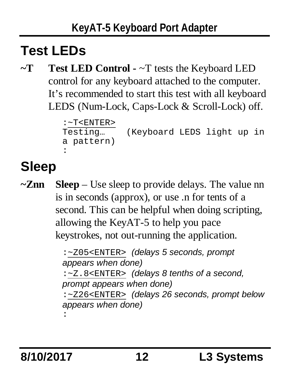## **Test LEDs**

**~T Test LED Control -** ~T tests the Keyboard LED control for any keyboard attached to the computer. It's recommended to start this test with all keyboard LEDS (Num-Lock, Caps-Lock & Scroll-Lock) off.

```
:~T<ENTER>
Testing… (Keyboard LEDS light up in
a pattern)
:
```
# **Sleep**

**~Znn Sleep** – Use sleep to provide delays. The value nn is in seconds (approx), or use .n for tents of a second. This can be helpful when doing scripting, allowing the KeyAT-5 to help you pace keystrokes, not out-running the application.

> :~Z05<ENTER> *(delays 5 seconds, prompt appears when done)* :~Z.8<ENTER> *(delays 8 tenths of a second, prompt appears when done)* :~Z26<ENTER> *(delays 26 seconds, prompt below appears when done)* :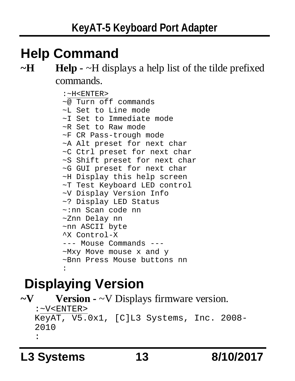## **Help Command**

#### **~H Help -** ~H displays a help list of the tilde prefixed commands.

```
:~H<ENTER>
\sim@ Turn off commands
~L Set to Line mode
~I Set to Immediate mode
~R Set to Raw mode
~F CR Pass-trough mode
~A Alt preset for next char
~C Ctrl preset for next char
~S Shift preset for next char
~G GUI preset for next char
~H Display this help screen
~T Test Keyboard LED control
~V Display Version Info
~? Display LED Status
~:nn Scan code nn
~Znn Delay nn
~nn ASCII byte
^X Control-X
--- Mouse Commands ---
~Mxy Move mouse x and y
~Bnn Press Mouse buttons nn
:
```
## **Displaying Version**

```
~V Version - ~V Displays firmware version.
   :~V<ENTER>
  KeyAT, V5.0x1, [C]L3 Systems, Inc. 2008-
   2010
   :
```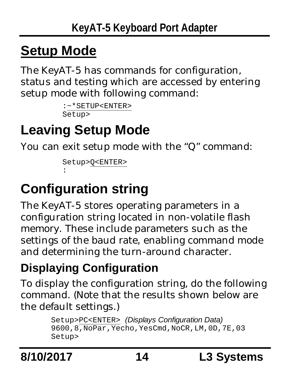## **Setup Mode**

The KeyAT-5 has commands for configuration, status and testing which are accessed by entering setup mode with following command:

```
:~*SETUP<ENTER>
Setup>
```
## **Leaving Setup Mode**

You can exit setup mode with the "Q" command:

```
Setup>Q<ENTER>
:
```
## **Configuration string**

The KeyAT-5 stores operating parameters in a configuration string located in non-volatile flash memory. These include parameters such as the settings of the baud rate, enabling command mode and determining the turn-around character.

#### **Displaying Configuration**

To display the configuration string, do the following command. (Note that the results shown below are the default settings.)

> Setup>PC<ENTER> *(Displays Configuration Data)* 9600,8,NoPar,Yecho,YesCmd,NoCR,LM,0D,7E,03 Setup>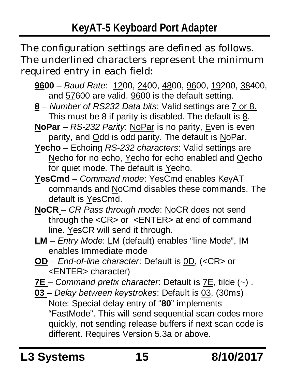The configuration settings are defined as follows. The underlined characters represent the minimum required entry in each field:

- **9600** *Baud Rate*: 1200, 2400, 4800, 9600, 19200, 38400, and 57600 are valid. 9600 is the default setting.
- **8** *Number of RS232 Data bits*: Valid settings are 7 or 8. This must be 8 if parity is disabled. The default is 8.
- **NoPar** *RS-232 Parity*: NoPar is no parity, Even is even parity, and Odd is odd parity. The default is NoPar.
- **Yecho** Echoing *RS-232 characters*: Valid settings are Necho for no echo, Yecho for echo enabled and Qecho for quiet mode. The default is Yecho.
- **YesCmd** *Command mode*: YesCmd enables KeyAT commands and NoCmd disables these commands. The default is YesCmd.
- **NoCR** *CR Pass through mode*: NoCR does not send through the <CR> or <ENTER> at end of command line. YesCR will send it through.
- **LM** *Entry Mode*: LM (default) enables "line Mode", IM enables Immediate mode
- **OD** *End-of-line character*: Default is 0D, (<CR> or <ENTER> character)
- **7E** *Command prefix character*: Default is 7E, tilde (~) .
- **03** *Delay between keystrokes*: Default is 03, (30ms) Note: Special delay entry of "**80**" implements "FastMode". This will send sequential scan codes more quickly, not sending release buffers if next scan code is different. Requires Version 5.3a or above.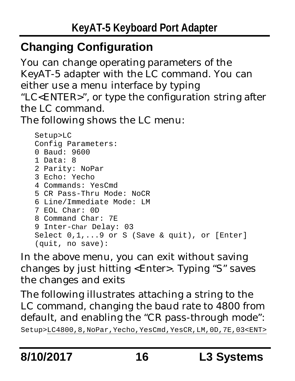#### **Changing Configuration**

You can change operating parameters of the KeyAT-5 adapter with the LC command. You can either use a menu interface by typing "LC<ENTER>", or type the configuration string after the LC command.

The following shows the LC menu:

```
Setup>LC
Config Parameters:
0 Baud: 9600
1 Data: 8
2 Parity: NoPar
3 Echo: Yecho
4 Commands: YesCmd
5 CR Pass-Thru Mode: NoCR
6 Line/Immediate Mode: LM
7 EOL Char: 0D
8 Command Char: 7E
9 Inter-Char Delay: 03
Select 0,1,...9 or S (Save & quit), or [Enter]
(quit, no save):
```
In the above menu, you can exit without saving changes by just hitting <Enter>. Typing "S" saves the changes and exits

The following illustrates attaching a string to the LC command, changing the baud rate to 4800 from default, and enabling the "CR pass-through mode": Setup>LC4800,8,NoPar,Yecho,YesCmd,YesCR,LM,0D,7E,03<ENT>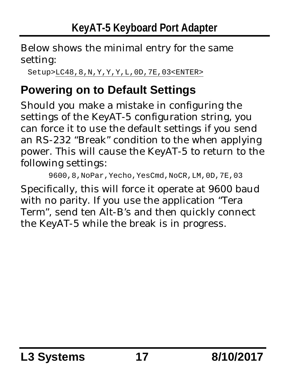Below shows the minimal entry for the same setting:

Setup>LC48,8,N,Y,Y,Y,L,0D,7E,03<ENTER>

#### **Powering on to Default Settings**

Should you make a mistake in configuring the settings of the KeyAT-5 configuration string, you can force it to use the default settings if you send an RS-232 "Break" condition to the when applying power. This will cause the KeyAT-5 to return to the following settings:

```
9600,8,NoPar,Yecho,YesCmd,NoCR,LM,0D,7E,03
```
Specifically, this will force it operate at 9600 baud with no parity. If you use the application "Tera Term", send ten Alt-B's and then quickly connect the KeyAT-5 while the break is in progress.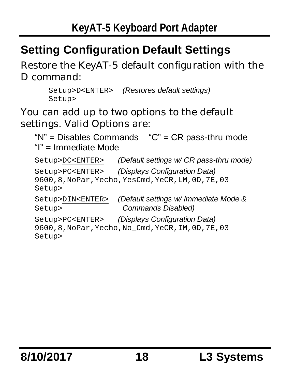#### **Setting Configuration Default Settings**

Restore the KeyAT-5 default configuration with the D command:

```
Setup>D<ENTER> (Restores default settings)
Setup>
```
You can add up to two options to the default settings. Valid Options are:

```
"N" = Disables Commands "C" = CR pass-thru mode
"I" = Immediate Mode
```

```
Setup>DC<ENTER> (Default settings w/ CR pass-thru mode)
Setup>PC<ENTER> (Displays Configuration Data)
9600,8,NoPar,Yecho,YesCmd,YeCR,LM,0D,7E,03
Setup>
Setup>DIN<ENTER> (Default settings w/ Immediate Mode &
Setup> Commands Disabled)
Setup>PC<ENTER> (Displays Configuration Data)
9600,8,NoPar,Yecho,No Cmd,YeCR,IM,0D,7E,03
Setup>
```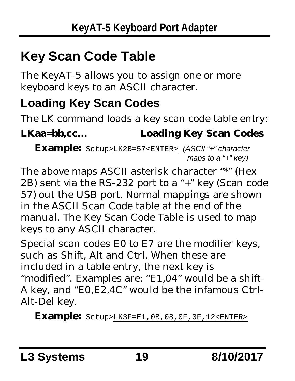## **Key Scan Code Table**

The KeyAT-5 allows you to assign one or more keyboard keys to an ASCII character.

#### **Loading Key Scan Codes**

The LK command loads a key scan code table entry: **LKaa=bb,cc… Loading Key Scan Codes**

**Example:** Setup>LK2B=57<ENTER> *(ASCII "+" character maps to a "+" key)*

The above maps ASCII asterisk character "\*" (Hex 2B) sent via the RS-232 port to a "+" key (Scan code 57) out the USB port. Normal mappings are shown in the ASCII Scan Code table at the end of the manual. The Key Scan Code Table is used to map keys to any ASCII character.

Special scan codes E0 to E7 are the modifier keys, such as Shift, Alt and Ctrl. When these are included in a table entry, the next key is "modified". Examples are: "E1,04" would be a shift-A key, and "E0,E2,4C" would be the infamous Ctrl-Alt-Del key.

**Example:** Setup>LK3F=E1,0B,08,0F,0F,12<ENTER>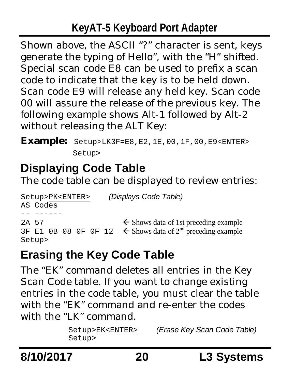#### **KeyAT-5 Keyboard Port Adapter**

Shown above, the ASCII "?" character is sent, keys generate the typing of Hello", with the "H" shifted. Special scan code E8 can be used to prefix a scan code to indicate that the key is to be held down. Scan code E9 will release any held key. Scan code 00 will assure the release of the previous key. The following example shows Alt-1 followed by Alt-2 without releasing the ALT Key:

**Example:** Setup>LK3F=E8,E2,1E,00,1F,00,E9<ENTER>

Setup>

#### **Displaying Code Table**

The code table can be displayed to review entries:

```
Setup>PK<ENTER> (Displays Code Table)
AS Codes
-- ------
2A 57 \leftarrow Shows data of 1st preceding example
3F E1 0B 08 OF 0F 12 \leftarrow Shows data of 2<sup>nd</sup> preceding example
Setup>
```
#### **Erasing the Key Code Table**

The "EK" command deletes all entries in the Key Scan Code table. If you want to change existing entries in the code table, you must clear the table with the "EK" command and re-enter the codes with the "LK" command.

> Setup>EK<ENTER> *(Erase Key Scan Code Table)* Setup>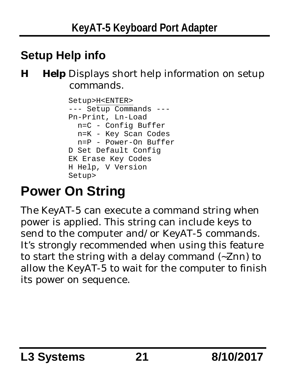#### **Setup Help info**

**H Help** Displays short help information on setup commands.

```
Setup>H<ENTER>
--- Setup Commands ---
Pn-Print, Ln-Load
  n=C - Config Buffer
 n=K - Key Scan Codes
  n=P - Power-On Buffer
D Set Default Config
EK Erase Key Codes
H Help, V Version
Setup>
```
## **Power On String**

The KeyAT-5 can execute a command string when power is applied. This string can include keys to send to the computer and/or KeyAT-5 commands. It's strongly recommended when using this feature to start the string with a delay command (~Znn) to allow the KeyAT-5 to wait for the computer to finish its power on sequence.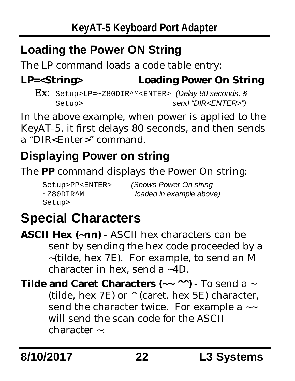#### **Loading the Power ON String**

The LP command loads a code table entry:

**LP=<String> Loading Power On String**

**Ex**: Setup>LP=~Z80DIR^M<ENTER> *(Delay 80 seconds, &* Setup> *send "DIR<ENTER>")*

In the above example, when power is applied to the KeyAT-5, it first delays 80 seconds, and then sends a "DIR<Enter>" command.

#### **Displaying Power on string**

The **PP** command displays the Power On string:

Setup>

Setup>PP<ENTER> *(Shows Power On string* ~Z80DIR^M *loaded in example above)*

## **Special Characters**

**ASCII Hex (~nn)** - ASCII hex characters can be sent by sending the hex code proceeded by a ~(tilde, hex 7E). For example, to send an M character in hex, send a ~4D.

**Tilde and Caret Characters (~~ ^^)** - To send a ~ (tilde, hex 7E) or ^ (caret, hex 5E) character, send the character twice. For example a  $\sim$ will send the scan code for the ASCII character ~.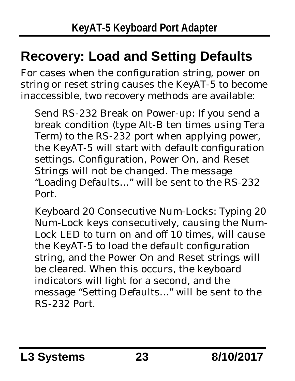## **Recovery: Load and Setting Defaults**

For cases when the configuration string, power on string or reset string causes the KeyAT-5 to become inaccessible, two recovery methods are available:

Send RS-232 Break on Power-up: If you send a break condition (type Alt-B ten times using Tera Term) to the RS-232 port when applying power, the KeyAT-5 will start with default configuration settings. Configuration, Power On, and Reset Strings will not be changed. The message "Loading Defaults…" will be sent to the RS-232 Port.

Keyboard 20 Consecutive Num-Locks: Typing 20 Num-Lock keys consecutively, causing the Num-Lock LED to turn on and off 10 times, will cause the KeyAT-5 to load the default configuration string, and the Power On and Reset strings will be cleared. When this occurs, the keyboard indicators will light for a second, and the message "Setting Defaults…" will be sent to the RS-232 Port.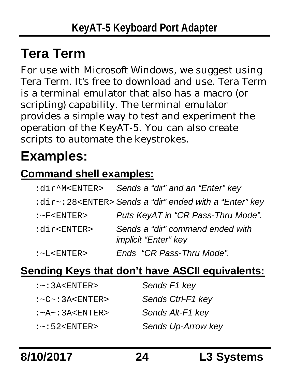## **Tera Term**

For use with Microsoft Windows, we suggest using Tera Term. It's free to download and use. Tera Term is a terminal emulator that also has a macro (or scripting) capability. The terminal emulator provides a simple way to test and experiment the operation of the KeyAT-5. You can also create scripts to automate the keystrokes.

## **Examples:**

#### **Command shell examples:**

|                            | : dir^M <enter> Sends a "dir" and an "Enter" key</enter>                       |
|----------------------------|--------------------------------------------------------------------------------|
|                            | : $\text{dir} \sim$ :28 <enter> Sends a "dir" ended with a "Enter" key</enter> |
| $:$ $\sim$ F $<$ ENTER $>$ | Puts KeyAT in "CR Pass-Thru Mode".                                             |
| :dir <enter></enter>       | Sends a "dir" command ended with<br><i>implicit "Enter" key</i>                |
| $:-$ L <enter></enter>     | Ends "CR Pass-Thru Mode".                                                      |

#### **Sending Keys that don't have ASCII equivalents:**

| $:-:3A$                           | Sends F1 key       |
|-----------------------------------|--------------------|
| : <c>&lt; : 3A &lt; ENTER&gt;</c> | Sends Ctrl-F1 key  |
| $:-A - : 3A < ENTER$              | Sends Alt-F1 key   |
| $:-:52<$ ENTER>                   | Sends Up-Arrow key |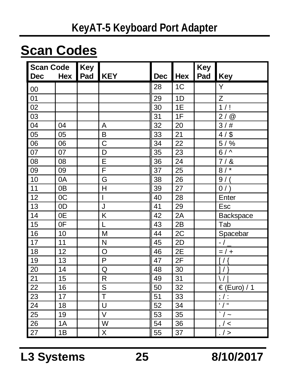## **Scan Codes**

| <b>Scan Code</b> |                | Key |                         |                 |            | Key |                  |
|------------------|----------------|-----|-------------------------|-----------------|------------|-----|------------------|
| <b>Dec</b>       | Hex            | Pad | <b>KEY</b>              | <b>Dec</b>      | <b>Hex</b> | Pad | Key              |
| 00               |                |     |                         | 28              | 1C         |     | Y                |
| 01               |                |     |                         | 29              | 1D         |     | Z                |
| 02               |                |     |                         | 30              | 1E         |     | 1/1              |
| 03               |                |     |                         | 31              | 1F         |     | 2/@              |
| 04               | 04             |     | Α                       | 32              | 20         |     | 3/#              |
| 05               | 05             |     | B                       | 33              | 21         |     | $4/$ \$          |
| 06               | 06             |     | C                       | 34              | 22         |     | $5/$ %           |
| $\overline{07}$  | 07             |     | D                       | $\overline{35}$ | 23         |     | $6/\sqrt{2}$     |
| 08               | 08             |     | Ē                       | 36              | 24         |     | 7/8              |
| 09               | 09             |     | F                       | 37              | 25         |     | 8/               |
| 10               | 0A             |     | G                       | 38              | 26         |     | 9/               |
| 11               | 0 <sub>B</sub> |     | Н                       | 39              | 27         |     | 0/               |
| 12               | 0C             |     | I                       | 40              | 28         |     | Enter            |
| 13               | 0D             |     | J                       | 41              | 29         |     | Esc              |
| 14               | 0E             |     | K                       | 42              | 2A         |     | Backspace        |
| 15               | 0F             |     | L                       | 43              | 2B         |     | Tab              |
| 16               | 10             |     | M                       | 44              | 2C         |     | Spacebar         |
| 17               | 11             |     | N                       | 45              | 2D         |     | $-1$             |
| 18               | 12             |     | O                       | 46              | 2E         |     | $= 1 +$          |
| 19               | 13             |     | P                       | 47              | 2F         |     | 1/               |
| 20               | 14             |     | Q                       | 48              | 30         |     | $\left( \right)$ |
| $\overline{21}$  | 15             |     | R                       | 49              | 31         |     | $\setminus$      |
| $\overline{22}$  | 16             |     | S                       | 50              | 32         |     | € (Euro) / 1     |
| 23               | 17             |     | $\overline{\mathsf{T}}$ | 51              | 33         |     | $; \prime :$     |
| 24               | 18             |     | U                       | 52              | 34         |     | $\frac{1}{2}$    |
| 25               | 19             |     | $\vee$                  | 53              | 35         |     | / $\sim$         |
| 26               | 1A             |     | W                       | 54              | 36         |     | $/$ <            |
| $\overline{27}$  | 1B             |     | X                       | $\overline{55}$ | 37         |     | $.$ / >          |

**L3 Systems 25 8/10/2017**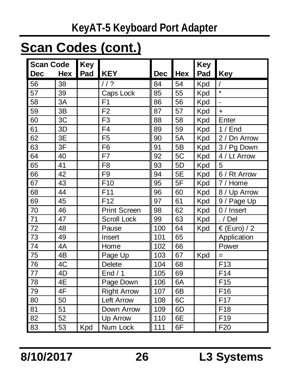#### **KeyAT-5 Keyboard Port Adapter**

#### **Scan Codes (cont.)**

| <b>Scan Code</b> |     | Key |                     |            |     | Key |                 |
|------------------|-----|-----|---------------------|------------|-----|-----|-----------------|
| <b>Dec</b>       | Hex | Pad | <b>KEY</b>          | <b>Dec</b> | Hex | Pad | Key             |
| 56               | 38  |     | 112                 | 84         | 54  | Kpd |                 |
| 57               | 39  |     | Caps Lock           | 85         | 55  | Kpd | $\star$         |
| 58               | 3A  |     | F <sub>1</sub>      | 86         | 56  | Kpd | $\overline{a}$  |
| 59               | 3B  |     | F <sub>2</sub>      | 87         | 57  | Kpd | $\ddot{}$       |
| 60               | 3C  |     | F <sub>3</sub>      | 88         | 58  | Kpd | Enter           |
| 61               | 3D  |     | F <sub>4</sub>      | 89         | 59  | Kpd | 1/End           |
| 62               | 3E  |     | F <sub>5</sub>      | 90         | 5A  | Kpd | 2 / Dn Arrow    |
| 63               | 3F  |     | F <sub>6</sub>      | 91         | 5B  | Kpd | 3 / Pg Down     |
| 64               | 40  |     | F7                  | 92         | 5C  | Kpd | 4 / Lt Arrow    |
| 65               | 41  |     | F <sub>8</sub>      | 93         | 5D  | Kpd | 5               |
| 66               | 42  |     | F <sub>9</sub>      | 94         | 5E  | Kpd | 6 / Rt Arrow    |
| 67               | 43  |     | F <sub>10</sub>     | 95         | 5F  | Kpd | 7/<br>Home      |
| 68               | 44  |     | F <sub>11</sub>     | 96         | 60  | Kpd | 8/<br>Up Arrow  |
| 69               | 45  |     | F12                 | 97         | 61  | Kpd | 9 / Page Up     |
| 70               | 46  |     | <b>Print Screen</b> | 98         | 62  | Kpd | 0 / Insert      |
| 71               | 47  |     | Scroll Lock         | 99         | 63  | Kpd | . / Del         |
| 72               | 48  |     | Pause               | 100        | 64  | Kpd | € (Euro) / 2    |
| 73               | 49  |     | Insert              | 101        | 65  |     | Application     |
| 74               | 4A  |     | Home                | 102        | 66  |     | Power           |
| 75               | 4B  |     | Page Up             | 103        | 67  | Kpd | $=$             |
| 76               | 4C  |     | <b>Delete</b>       | 104        | 68  |     | F <sub>13</sub> |
| $\overline{77}$  | 4D  |     | End / 1             | 105        | 69  |     | F <sub>14</sub> |
| 78               | 4E  |     | Page Down           | 106        | 6A  |     | F <sub>15</sub> |
| 79               | 4F  |     | <b>Right Arrow</b>  | 107        | 6B  |     | F <sub>16</sub> |
| 80               | 50  |     | Left Arrow          | 108        | 6C  |     | F17             |
| 81               | 51  |     | Down Arrow          | 109        | 6D  |     | F <sub>18</sub> |
| 82               | 52  |     | Up Arrow            | 110        | 6E  |     | F <sub>19</sub> |
| 83               | 53  | Kpd | Num Lock            | 111        | 6F  |     | F <sub>20</sub> |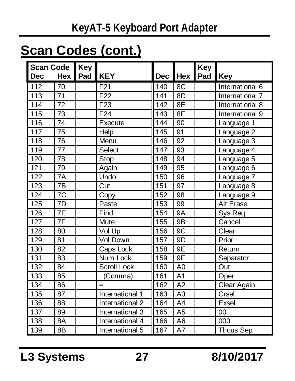## **Scan Codes (cont.)**

| Scan Code |                 | Key |                            |         |                | Key     |                  |
|-----------|-----------------|-----|----------------------------|---------|----------------|---------|------------------|
| Dec       | Hex             | Pad | <b>KEY</b>                 | Dec Hex |                | Pad Key |                  |
| 112       | 70              |     | F <sub>21</sub>            | 140     | 8C             |         | International 6  |
| 113       | 71              |     | F <sub>22</sub>            | 141     | 8D             |         | International 7  |
| 114       | 72              |     | F <sub>23</sub>            | 142     | 8E             |         | International 8  |
| 115       | 73              |     | F <sub>24</sub>            | 143     | 8F             |         | International 9  |
| 116       | 74              |     | Execute                    | 144     | 90             |         | Language 1       |
| 117       | 75              |     | Help                       | 145     | 91             |         | Language 2       |
| 118       | 76              |     | Menu                       | 146     | 92             |         | Language 3       |
| 119       | 77              |     | Select                     | 147     | 93             |         | Language 4       |
| 120       | 78              |     | Stop                       | 148     | 94             |         | Language 5       |
| 121       | 79              |     | Again                      | 149     | 95             |         | Language 6       |
| 122       | 7A              |     | Undo                       | 150     | 96             |         | Language 7       |
| 123       | 7B              |     | Cut                        | 151     | 97             |         | Language 8       |
| 124       | $\overline{7C}$ |     | Copy                       | 152     | 98             |         | Language 9       |
| 125       | 7D              |     | Paste                      | 153     | 99             |         | Alt Erase        |
| 126       | $\overline{7E}$ |     | Find                       | 154     | <b>9A</b>      |         | Sys Req          |
| 127       | 7F              |     | Mute                       | 155     | 9B             |         | Cancel           |
| 128       | 80              |     | $\overline{\text{Vol}}$ Up | 156     | 9C             |         | Clear            |
| 129       | 81              |     | Vol Down                   | 157     | 9D             |         | Prior            |
| 130       | 82              |     | Caps Lock                  | 158     | 9E             |         | Return           |
| 131       | 83              |     | Num Lock                   | 159     | 9F             |         | Separator        |
| 132       | 84              |     | Scroll Lock                | 160     | A <sub>0</sub> |         | Out              |
| 133       | 85              |     | . (Comma)                  | 161     | A <sub>1</sub> |         | Oper             |
| 134       | 86              |     | $=$                        | 162     | A2             |         | Clear Again      |
| 135       | 87              |     | International 1            | 163     | A <sub>3</sub> |         | Crsel            |
| 136       | 88              |     | International 2            | 164     | A4             |         | Exsel            |
| 137       | 89              |     | International 3            | 165     | A <sub>5</sub> |         | 00               |
| 138       | 8A              |     | International 4            | 166     | A <sub>6</sub> |         | 000              |
| 139       | 8B              |     | International 5            | 167     | A7             |         | <b>Thous Sep</b> |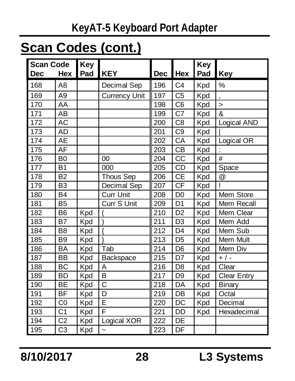#### **KeyAT-5 Keyboard Port Adapter**

## **Scan Codes (cont.)**

| <b>Scan Code</b> |                | Key |                       |     |                | Key |                    |
|------------------|----------------|-----|-----------------------|-----|----------------|-----|--------------------|
| <b>Dec</b>       | Hex            | Pad | <b>KEY</b>            | Dec | Hex            | Pad | Key                |
| 168              | A <sub>8</sub> |     | Decimal Sep           | 196 | C <sub>4</sub> | Kpd | %                  |
| 169              | A <sub>9</sub> |     | <b>Currency Unit</b>  | 197 | C <sub>5</sub> | Kpd |                    |
| 170              | AA             |     |                       | 198 | C <sub>6</sub> | Kpd | $\geq$             |
| 171              | AB             |     |                       | 199 | C7             | Kpd | &                  |
| 172              | AC             |     |                       | 200 | C <sub>8</sub> | Kpd | Logical AND        |
| 173              | AD             |     |                       | 201 | C <sub>9</sub> | Kpd |                    |
| 174              | AE             |     |                       | 202 | CA             | Kpd | Logical OR         |
| 175              | AF             |     |                       | 203 | <b>CB</b>      | Kpd |                    |
| 176              | B <sub>0</sub> |     | 00                    | 204 | CC             | Kpd | #                  |
| 177              | <b>B1</b>      |     | 000                   | 205 | CD             | Kpd | Space              |
| 178              | <b>B2</b>      |     | <b>Thous Sep</b>      | 206 | <b>CE</b>      | Kpd | @                  |
| 179              | B <sub>3</sub> |     | Decimal Sep           | 207 | <b>CF</b>      | Kpd | ı                  |
| 180              | <b>B4</b>      |     | <b>Curr Unit</b>      | 208 | D <sub>0</sub> | Kpd | Mem Store          |
| 181              | <b>B5</b>      |     | Curr S Unit           | 209 | D <sub>1</sub> | Kpd | Mem Recall         |
| 182              | B <sub>6</sub> | Kpd |                       | 210 | D <sub>2</sub> | Kpd | Mem Clear          |
| 183              | <b>B7</b>      | Kpd |                       | 211 | D <sub>3</sub> | Kpd | Mem Add            |
| 184              | B <sub>8</sub> | Kpd | $\{$                  | 212 | D <sub>4</sub> | Kpd | Mem Sub            |
| 185              | B <sub>9</sub> | Kpd |                       | 213 | D <sub>5</sub> | Kpd | Mem Mult           |
| 186              | <b>BA</b>      | Kpd | Tab                   | 214 | D <sub>6</sub> | Kpd | Mem Div            |
| 187              | <b>BB</b>      | Kpd | Backspace             | 215 | D7             | Kpd | $+$ / -            |
| 188              | BC             | Kpd | A                     | 216 | D <sub>8</sub> | Kpd | Clear              |
| 189              | <b>BD</b>      | Kpd | B                     | 217 | D <sub>9</sub> | Kpd | <b>Clear Entry</b> |
| 190              | <b>BE</b>      | Kpd | $\overline{\text{c}}$ | 218 | DA             | Kpd | Binary             |
| 191              | <b>BF</b>      | Kpd | D                     | 219 | DB             | Kpd | Octal              |
| 192              | CO             | Kpd | Ē                     | 220 | DC             | Kpd | Decimal            |
| 193              | C <sub>1</sub> | Kpd | F                     | 221 | DD             | Kpd | Hexadecimal        |
| 194              | C <sub>2</sub> | Kpd | Logical XOR           | 222 | DE             |     |                    |
| 195              | C <sub>3</sub> | Kpd | $\ddot{\phantom{0}}$  | 223 | DF             |     |                    |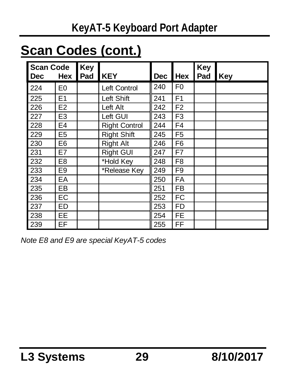## **Scan Codes (cont.)**

| <b>Scan Code</b> |                | Key |                      |            |                | Key |     |
|------------------|----------------|-----|----------------------|------------|----------------|-----|-----|
| <b>Dec</b>       | <b>Hex</b>     | Pad | <b>KEY</b>           | <b>Dec</b> | Hex            | Pad | Key |
| 224              | E <sub>0</sub> |     | Left Control         | 240        | F <sub>0</sub> |     |     |
| 225              | E1             |     | Left Shift           | 241        | F <sub>1</sub> |     |     |
| 226              | E <sub>2</sub> |     | Left Alt             | 242        | F <sub>2</sub> |     |     |
| 227              | E <sub>3</sub> |     | Left GUI             | 243        | F <sub>3</sub> |     |     |
| 228              | E4             |     | <b>Right Control</b> | 244        | F <sub>4</sub> |     |     |
| 229              | E <sub>5</sub> |     | <b>Right Shift</b>   | 245        | F <sub>5</sub> |     |     |
| 230              | E6             |     | <b>Right Alt</b>     | 246        | F <sub>6</sub> |     |     |
| 231              | E7             |     | <b>Right GUI</b>     | 247        | F7             |     |     |
| 232              | E <sub>8</sub> |     | *Hold Key            | 248        | F <sub>8</sub> |     |     |
| 233              | E <sub>9</sub> |     | *Release Key         | 249        | F <sub>9</sub> |     |     |
| 234              | EA             |     |                      | 250        | <b>FA</b>      |     |     |
| 235              | EB             |     |                      | 251        | <b>FB</b>      |     |     |
| 236              | EC             |     |                      | 252        | <b>FC</b>      |     |     |
| 237              | ED             |     |                      | 253        | <b>FD</b>      |     |     |
| 238              | EE             |     |                      | 254        | <b>FE</b>      |     |     |
| 239              | EF             |     |                      | 255        | FF             |     |     |

*Note E8 and E9 are special KeyAT-5 codes*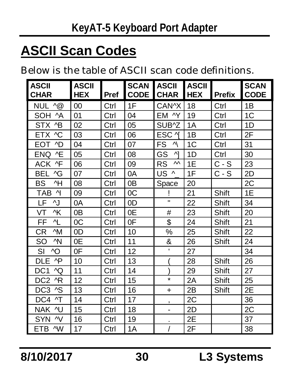## **ASCII Scan Codes**

Below is the table of ASCII scan code definitions.

| <b>LASCII</b><br><b>CHAR</b> | ASCII<br>HEX | Pref | <b>SCAN</b><br><b>CODE</b> | <b>ASCII</b><br><b>CHAR</b>            | <b>ASCII</b><br><b>HEX</b> | <b>Prefix</b> | <b>SCAN</b><br><b>CODE</b> |
|------------------------------|--------------|------|----------------------------|----------------------------------------|----------------------------|---------------|----------------------------|
| NUL $\wedge\textcircled{a}$  | 00           | Ctrl | 1F                         | CAN^X                                  | 18                         | Ctrl          | 1B                         |
| SOH<br>^A                    | 01           | Ctrl | 04                         | EM ^Y                                  | 19                         | Ctrl          | 1C                         |
| STX ^B                       | 02           | Ctrl | 05                         | SUB^Z                                  | 1A                         | Ctrl          | 1D                         |
| ETX ^C                       | 03           | Ctrl | 06                         | ESC <sub>N</sub>                       | 1Β                         | Ctrl          | 2F                         |
| EOT<br>^D                    | 04           | Ctrl | 07                         | FS<br>ν                                | 1C                         | Ctrl          | 31                         |
| <b>ENQ</b><br>٨E             | 05           | Ctrl | 08                         | GS<br>시                                | 1D                         | Ctrl          | 30                         |
| ACK ^F                       | 06           | Ctrl | 09                         | <b>RS</b><br>$\boldsymbol{\mathsf{M}}$ | 1E                         | $C-S$         | 23                         |
| AG<br><b>BEL</b>             | 07           | Ctrl | 0A                         | US<br>$\wedge$                         | 1F                         | C - S         | 2D                         |
| BS<br>^H                     | 08           | Ctrl | 0B                         | Space                                  | 20                         |               | 2С                         |
| TAB<br>ΛĮ                    | 09           | Ctrl | 0C                         | Ţ                                      | 21                         | Shift         | 1E                         |
| LF<br>٨J                     | 0A           | Ctrl | 0D                         | Ħ                                      | 22                         | Shift         | 34                         |
| VT<br>٨K                     | 0B           | Ctrl | 0E                         | #                                      | 23                         | Shift         | 20                         |
| ^L<br>FF                     | 0C           | Ctrl | 0F                         | \$                                     | 24                         | Shift         | 21                         |
| CR<br>^M                     | 0D           | Ctrl | 10                         | ℅                                      | 25                         | Shift         | 22                         |
| ^N<br>SO                     | 0E           | Ctrl | 11                         | &                                      | 26                         | Shift         | 24                         |
| ^O<br>SI                     | 0F           | Ctrl | 12                         | ×,                                     | 27                         |               | 34                         |
| $\wedge P$<br>DLE            | 10           | Ctrl | 13                         |                                        | 28                         | Shift         | 26                         |
| DC1<br>٨Q                    | 11           | Ctrl | 14                         |                                        | 29                         | Shift         | 27                         |
| DC2 ^R                       | 12           | Ctrl | 15                         | $\star$                                | 2A                         | Shift         | 25                         |
| DC3 ^S                       | 13           | Ctrl | 16                         | $\ddot{}$                              | 2B                         | Shift         | 2E                         |
| DC4<br>۸T                    | 14           | Ctrl | 17                         | ,                                      | 2C                         |               | 36                         |
| <b>NAK</b><br>٨U             | 15           | Ctrl | 18                         |                                        | 2D                         |               | 2С                         |
| <b>SYN</b><br>^V             | 16           | Ctrl | 19                         |                                        | 2Е                         |               | 37                         |
| ETB ^W                       | 17           | Ctrl | 1A                         |                                        | 2F                         |               | 38                         |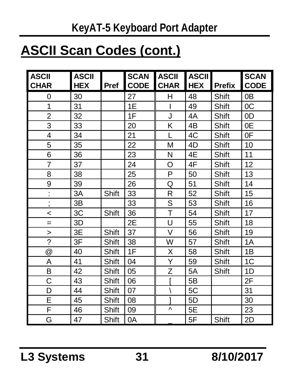## **ASCII Scan Codes (cont.)**

| <b>ASCII</b><br><b>CHAR</b> | ASCII<br>HEX | Pref  | <b>SCAN</b><br><b>CODE</b> | <b>ASCII</b><br><b>CHAR</b> | <b>ASCII</b><br><b>HEX</b> | <b>Prefix</b> | <b>SCAN</b><br><b>CODE</b> |
|-----------------------------|--------------|-------|----------------------------|-----------------------------|----------------------------|---------------|----------------------------|
| 0                           | 30           |       | 27                         | н                           | 48                         | Shift         | 0 <sub>B</sub>             |
| 1                           | 31           |       | 1E                         | ı                           | 49                         | Shift         | 0C                         |
| $\overline{2}$              | 32           |       | 1F                         | J                           | 4A                         | Shift         | 0D                         |
| 3                           | 33           |       | 20                         | Κ                           | 4B                         | Shift         | 0E                         |
| 4                           | 34           |       | 21                         | L                           | 4C                         | Shift         | 0F                         |
| 5                           | 35           |       | 22                         | M                           | 4D                         | Shift         | 10                         |
| 6                           | 36           |       | 23                         | N                           | 4E                         | Shift         | 11                         |
| $\overline{7}$              | 37           |       | 24                         | O                           | 4F                         | Shift         | 12                         |
| 8                           | 38           |       | 25                         | P                           | 50                         | Shift         | 13                         |
| 9                           | 39           |       | 26                         | Q                           | 51                         | Shift         | 14                         |
| $\ddot{\phantom{a}}$        | 3A           | Shift | 33                         | R                           | 52                         | Shift         | 15                         |
| ,                           | 3B           |       | 33                         | S                           | 53                         | Shift         | 16                         |
| $\,<\,$                     | 3C           | Shift | 36                         | T                           | 54                         | Shift         | 17                         |
| $=$                         | 3D           |       | 2E                         | U                           | 55                         | Shift         | 18                         |
| >                           | 3E           | Shift | 37                         | $\vee$                      | 56                         | Shift         | 19                         |
| $\overline{\phantom{0}}$    | 3F           | Shift | 38                         | W                           | 57                         | Shift         | 1A                         |
| @                           | 40           | Shift | 1F                         | Χ                           | 58                         | Shift         | 1B                         |
| Α                           | 41           | Shift | 04                         | Y                           | 59                         | Shift         | 1C                         |
| B                           | 42           | Shift | 05                         | Z                           | 5A                         | Shift         | 1D                         |
| С                           | 43           | Shift | 06                         |                             | 5B                         |               | 2F                         |
| D                           | 44           | Shift | 07                         |                             | 5C                         |               | 31                         |
| E                           | 45           | Shift | 08                         |                             | 5D                         |               | 30                         |
| F                           | 46           | Shift | 09                         | Λ                           | 5E                         |               | 23                         |
| G                           | 47           | Shift | 0A                         |                             | 5F                         | Shift         | 2D                         |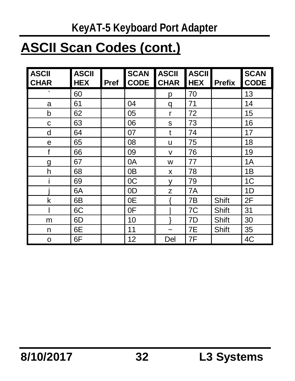#### **KeyAT-5 Keyboard Port Adapter**

## **ASCII Scan Codes (cont.)**

| <b>ASCII</b><br><b>CHAR</b> | <b>ASCII</b><br><b>HEX</b> | Pref | <b>SCAN</b><br><b>CODE</b> | <b>ASCII</b><br><b>CHAR</b> | <b>ASCII</b><br><b>HEX</b> | <b>Prefix</b> | <b>SCAN</b><br><b>CODE</b> |
|-----------------------------|----------------------------|------|----------------------------|-----------------------------|----------------------------|---------------|----------------------------|
| $\cdot$                     | 60                         |      |                            | р                           | 70                         |               | 13                         |
| a                           | 61                         |      | 04                         | q                           | 71                         |               | 14                         |
| b                           | 62                         |      | 05                         | r                           | 72                         |               | 15                         |
| C                           | 63                         |      | 06                         | s                           | 73                         |               | 16                         |
| d                           | 64                         |      | 07                         | t                           | 74                         |               | 17                         |
| e                           | 65                         |      | 08                         | u                           | 75                         |               | 18                         |
| f                           | 66                         |      | 09                         | v                           | 76                         |               | 19                         |
| g                           | 67                         |      | 0A                         | W                           | 77                         |               | 1A                         |
| h                           | 68                         |      | 0 <sub>B</sub>             | x                           | 78                         |               | 1B                         |
|                             | 69                         |      | 0C                         | ٧                           | 79                         |               | 1C                         |
|                             | 6A                         |      | 0D                         | z                           | 7A                         |               | 1D                         |
| k                           | 6B                         |      | 0E                         |                             | 7B                         | Shift         | 2F                         |
|                             | 6C                         |      | 0F                         |                             | 7C                         | Shift         | 31                         |
| m                           | 6D                         |      | 10                         |                             | 7D                         | Shift         | 30                         |
| n                           | 6E                         |      | 11                         | $\tilde{}$                  | 7E                         | Shift         | 35                         |
| o                           | 6F                         |      | 12                         | Del                         | 7F                         |               | 4C                         |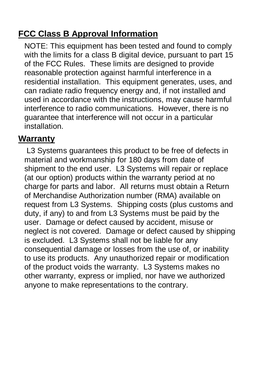#### **FCC Class B Approval Information**

NOTE: This equipment has been tested and found to comply with the limits for a class B digital device, pursuant to part 15 of the FCC Rules. These limits are designed to provide reasonable protection against harmful interference in a residential installation. This equipment generates, uses, and can radiate radio frequency energy and, if not installed and used in accordance with the instructions, may cause harmful interference to radio communications. However, there is no guarantee that interference will not occur in a particular installation.

#### **Warranty**

L3 Systems guarantees this product to be free of defects in material and workmanship for 180 days from date of shipment to the end user. L3 Systems will repair or replace (at our option) products within the warranty period at no charge for parts and labor. All returns must obtain a Return of Merchandise Authorization number (RMA) available on request from L3 Systems. Shipping costs (plus customs and duty, if any) to and from L3 Systems must be paid by the user. Damage or defect caused by accident, misuse or neglect is not covered. Damage or defect caused by shipping is excluded. L3 Systems shall not be liable for any consequential damage or losses from the use of, or inability to use its products. Any unauthorized repair or modification of the product voids the warranty. L3 Systems makes no other warranty, express or implied, nor have we authorized anyone to make representations to the contrary.